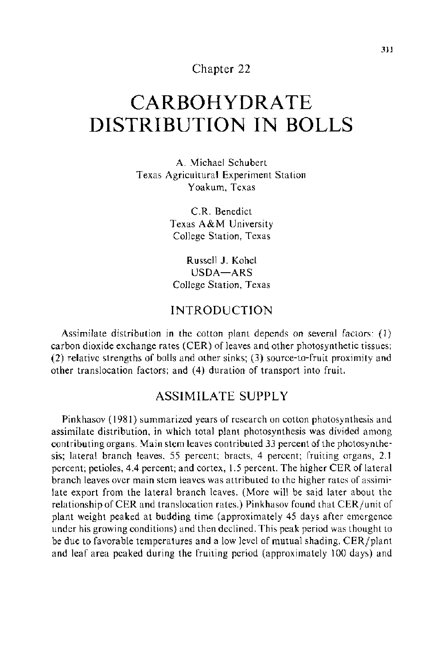## Chapter 22

# **CARBOHYDRATE DISTRIBUTION IN BOLLS**

A. Michael Schubert Texas Agricultural Experiment Station Yoakum, Texas

> C.R. Benedict Texas A&M University College Station, Texas

Russell J. Kohel USDA-ARS College Station, Texas

# INTRODUCTION

Assimilate distribution in the cotton plant depends on several factors: (1) carbon dioxide exchange rates (CER) of leaves and other photosynthetic tissues; (2) relative strengths of bolls and other sinks; (3) source-to-fruit proximity and other translocation factors; and ( 4) duration of transport into fruit.

# ASSIMILATE SUPPLY

Pinkhasov ( 1981) summarized years of research on cotton photosynthesis and assimilate distribution, in which total plant photosynthesis was divided among contributing organs. Main stem leaves contributed 33 percent of the photosynthesis; lateral branch leaves. 55 percent; bracts, 4 percent; fruiting organs, 2.1 percent; petioles, 4.4 percent; and cortex, 1.5 percent. The higher CER of lateral branch leaves over main stem leaves was attributed to the higher rates of assimilate export from the lateral branch leaves. (More will be said later about the relationship of CER and translocation rates.) Pinkhasov found that CER/unit of plant weight peaked at budding time (approximately 45 days after emergence under his growing conditions) and then declined. This peak period was thought to be due to favorable temperatures and a low level of mutual shading. CER/plant and leaf area peaked during the fruiting period (approximately 100 days) and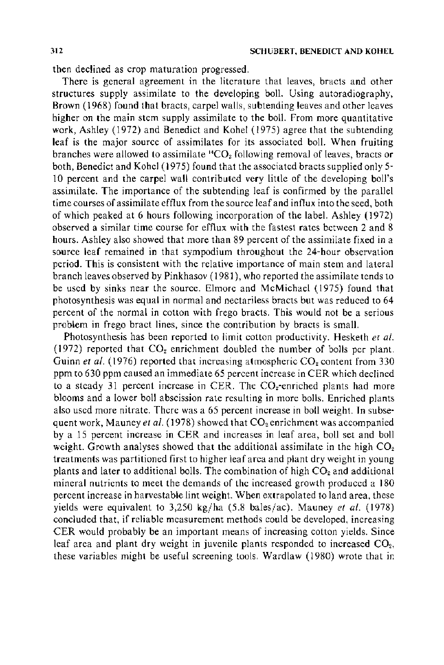then declined as crop maturation progressed.

There is general agreement in the literature that leaves, bracts and other structures supply assimilate to the developing boll. Using autoradiography, Brown ( 1968) found that bracts, carpel walls, subtending leaves and other leaves higher on the main stem supply assimilate to the boll. From more quantitative work, Ashley (1972) and Benedict and Kobel (1975) agree that the subtending leaf is the major source of assimilates for its associated boll. When fruiting branches were allowed to assimilate "CO<sub>2</sub> following removal of leaves, bracts or both, Benedict and Kobel ( 1975) found that the associated bracts supplied only 5- 10 percent and the carpel wall contributed very little of the developing boll's assimilate. The importance of the subtending leaf is confirmed by the parallel time courses of assimilate efflux from the source leaf and influx into the seed, both of which peaked at 6 hours following incorporation of the label. Ashley (1972) observed a similar time course for efflux with the fastest rates between 2 and 8 hours. Ashley also showed that more than 89 percent of the assimilate fixed in a source leaf remained in that sympodium throughout the 24-hour observation period. This is consistent with the relative importance of main stem and lateral branch leaves observed by Pinkhasov ( 1981 ), who reported the assimilate tends to be used by sinks near the source. Elmore and McMichael (1975) found that photosynthesis was equal in normal and nectariless bracts but was reduced to 64 percent of the normal in cotton with frego bracts. This would not be a serious problem in frego bract lines, since the contribution by bracts is small.

Photosynthesis has been reported to limit cotton productivity. Hesketh *et al.*  (1972) reported that  $CO<sub>2</sub>$  enrichment doubled the number of bolls per plant. Guinn *et al.* (1976) reported that increasing atmospheric  $CO<sub>2</sub>$  content from 330 ppm to 630 ppm caused an immediate 65 percent increase in CER which declined to a steady 31 percent increase in CER. The  $CO<sub>2</sub>$ -enriched plants had more blooms and a lower boll abscission rate resulting in more bolls. Enriched plants also used more nitrate. There was a 65 percent increase in boll weight. In subsequent work, Mauney *et al.* (1978) showed that CO<sub>2</sub> enrichment was accompanied by a 15 percent increase in CER and increases in leaf area, boll set and boll weight. Growth analyses showed that the additional assimilate in the high  $CO<sub>2</sub>$ treatments was partitioned first to higher leaf area and plant dry weight in young plants and later to additional bolls. The combination of high  $CO<sub>2</sub>$  and additional mineral nutrients to meet the demands of the increased growth produced a 180 percent increase in harvestable lint weight. When extrapolated to land area, these yields were equivalent to 3,250 kg/ha (5.8 bales/ac). Mauney *et al.* (1978) concluded that, if reliable measurement methods could be developed, increasing CER would probably be an important means of increasing cotton yields. Since leaf area and plant dry weight in juvenile plants responded to increased CO<sub>2</sub>, these variables might be useful screening tools. Wardlaw (1980) wrote that ir.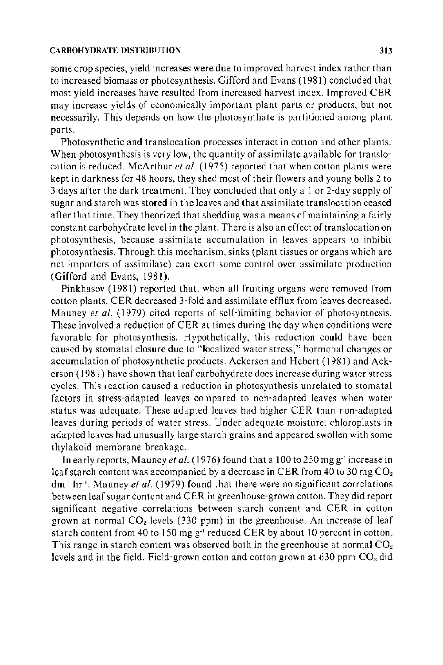some crop species, yield increases were due to improved harvest index rather than to increased biomass or photosynthesis. Gifford and Evans ( 1981) concluded that most yield increases have resulted from increased harvest index. Improved CER may increase yields of economically important plant parts or products, but not necessarily. This depends on how the photosynthate is partitioned among plant parts.

Photosynthetic and translocation processes interact in cotton and other plants. When photosynthesis is very low, the quantity of assimilate available for translocation is reduced. McArthur *et al.* (1975) reported that when cotton plants were kept in darkness for 48 hours, they shed most of their flowers and young bolls 2 to 3 days after the dark treatment. They concluded that only a I or 2-day supply of sugar and starch was stored in the leaves and that assimilate translocation ceased after that time. They theorized that shedding was a means of maintaining a fairly constant carbohydrate level in the plant. There is also an effect of translocation on photosynthesis, because assimilate accumulation in leaves appears to inhibit photosynthesis. Through this mechanism, sinks (plant tissues or organs which are net importers of assimilate) can exert some control over assimilate production (Gifford and Evans, 1981).

Pinkhasov ( 1981) reported that, when all fruiting organs were removed from cotton plants, CER decreased 3-fold and assimilate efflux from leaves decreased. Mauney *et al.* (1979) cited reports of self-limiting behavior of photosynthesis. These involved a reduction of CER at times during the day when conditions were favorable for photosynthesis. Hypothetically, this reduction could have been caused by stomatal closure due to "localized water stress," hormonal changes or accumulation of photosynthetic products. Ackerson and Hebert ( 1981) and Ackerson ( 1981) have shown that leaf carbohydrate does increase during water stress cycles. This reaction caused a reduction in photosynthesis unrelated to stomatal factors in stress-adapted leaves compared to non-adapted leaves when water status was adequate. These adapted leaves had higher CER than non-adapted leaves during periods of water stress. Under adequate moisture. chloroplasts in adapted leaves had unusually large starch grains and appeared swollen with some thylakoid membrane breakage.

**In** early reports, Mauney *et* at. ( 1976) found that a I 00 to 250 mg g·' increase in leaf starch content was accompanied by a decrease in CER from 40 to 30 mg  $CO<sub>2</sub>$ dm·' hr·'. Mauney *et al.* (1979) found that there were no significant correlations between leaf sugar content and CER in greenhouse-grown cotton. They did report significant negative correlations between starch content and CER in cotton grown at normal  $CO<sub>2</sub>$  levels (330 ppm) in the greenhouse. An increase of leaf starch content from 40 to 150 mg g<sup>-1</sup> reduced CER by about 10 percent in cotton. This range in starch content was observed both in the greenhouse at normal  $CO<sub>2</sub>$ levels and in the field. Field-grown cotton and cotton grown at 630 ppm  $CO<sub>2</sub>$  did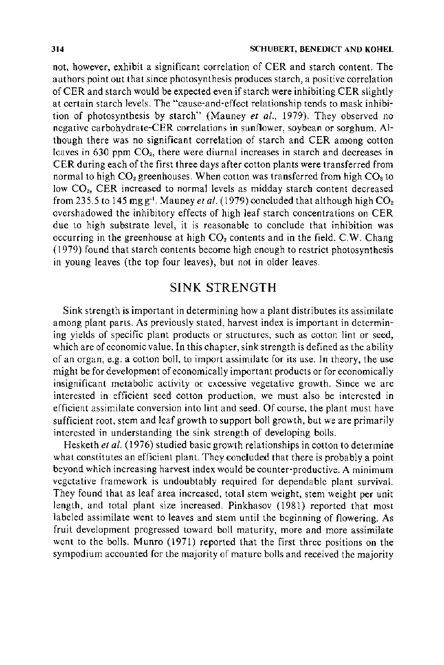not, however, exhibit a significant correlation of CER and starch content. The authors point out that since photosynthesis produces starch, a positive correlation of CER and starch would be expected even if starch were inhibiting CER slightly at certain starch levels. The "cause-and-effect relationship tends to mask inhibition of photosynthesis by starch" (Mauney *et al.,* 1979). They observed no negative carbohydrate-CER correlations in sunflower, soybean or sorghum. Although there was no significant correlation of starch and CER among cotton leaves in 630 ppm *COz,* there were diurnal increases in starch and decreases in CER during each of the first three days after cotton plants were transferred from normal to high  $CO_2$  greenhouses. When cotton was transferred from high  $CO_2$  to low *COz,* CER increased to normal levels as midday starch content decreased from 235.5 to 145 mg  $g^{-1}$ . Mauney *et al.* (1979) concluded that although high  $CO<sub>2</sub>$ overshadowed the inhibitory effects of high leaf starch concentrations on CER due to high substrate level, it is reasonable to conclude that inhibition was occurring in the greenhouse at high *COz* contents and in the field. C.W. Chang ( 1979) found that starch contents become high enough to restrict photosynthesis in young leaves (the top four leaves), but not in older leaves.

# SINK STRENGTH

Sink strength is important in determining how a plant distributes its assimilate among plant parts. As previously stated, harvest index is important in determining yields of specific plant products or structures, such as cotton lint or seed, which are of economic value. In this chapter, sink strength is defined as the ability of an organ, e.g. a cotton boll, to import assimilate for its use. In theory, the use might be for development of economically important products or for economically insignificant metabolic activity or excessive vegetative growth. Since we are interested in efficient seed cotton production, we must also be interested in efficient assimilate conversion into lint and seed. Of course, the plant must have sufficient root, stem and leaf growth to support boll growth, but we are primarily interested in understanding the sink strength of developing bolls.

Hesketh *et al.* ( 1976) studied basic growth relationships in cotton to determine what constitutes an efficient plant. They concluded that there is probably a point beyond which increasing harvest index would be counter-productive. A minimum vegetative framework is undoubtably required for dependable plant survival. They found that as leaf area increased, total stem weight, stem weight per unit length, and total plant size increased. Pinkhasov (1981) reported that most labeled assimilate went to leaves and stem until the beginning of flowering. As fruit development progressed toward boll maturity, more and more assimilate went to the bolls. Munro (1971) reported that the first three positions on the sympodium accounted for the majority of mature bolls and received the majority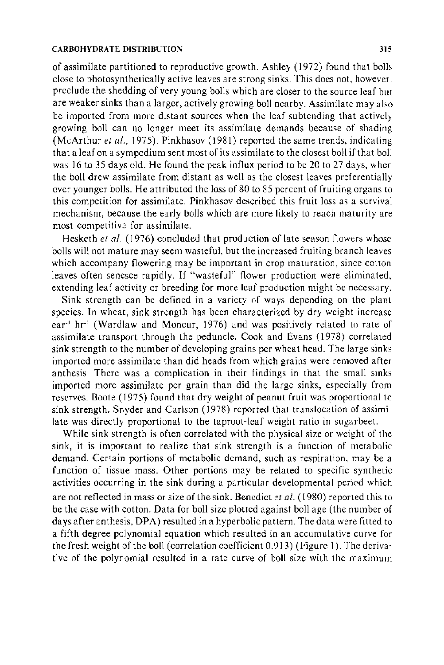of assimilate partitioned to reproductive growth. Ashley (1972) found that bolls close to photosynthetically active leaves are strong sinks. This does not, however, preclude the shedding of very young bolls which are closer to the source leaf but are weaker sinks than a larger, actively growing boll nearby. Assimilate may also be imported from more distant sources when the leaf subtending that actively growing boll can no longer meet its assimilate demands because of shading (McArthur *et al.*, 1975). Pinkhasov (1981) reported the same trends, indicating that a leaf on a sympodium sent most of its assimilate to the closest boll if that boll was 16 to 35 days old. He found the peak influx period to be 20 to 27 days, when the boll drew assimilate from distant as well as the closest leaves preferentially over younger bolls. He attributed the loss of 80 to 8 5 percent of fruiting organs to this competition for assimilate. Pinkhasov described this fruit loss as a survival mechanism, because the early bolls which are more likely to reach maturity are most competitive for assimilate.

Hesketh *et al.* (1976) concluded that production of late season flowers whose bolls will not mature may seem wasteful, but the increased fruiting branch leaves which accompany flowering may be important in crop maturation, since cotton leaves often senesce rapidly. If "wasteful" flower production were eliminated, extending leaf activity or breeding for more leaf production might be necessary.

Sink strength can be defined in a variety of ways depending on the plant species. In wheat, sink strength has been characterized by dry weight increase ear<sup>-1</sup> hr<sup>-1</sup> (Wardlaw and Moncur, 1976) and was positively related to rate of assimilate transport through the peduncle. Cook and Evans (1978) correlated sink strength to the number of developing grains per wheat head. The large sinks imported more assimilate than did heads from which grains were removed after anthesis. There was a complication in their findings in that the small sinks imported more assimilate per grain than did the large sinks, especially from reserves. Boote ( 1975) found that dry weight of peanut fruit was proportional to sink strength. Snyder and Carlson (1978) reported that translocation of assimilate was directly proportional to the taproot-leaf weight ratio in sugarbeet.

While sink strength is often correlated with the physical size or weight of the sink, it is important to realize that sink strength is a function of metabolic demand. Certain portions of metabolic demand, such as respiration, may be a function of tissue mass. Other portions may be related to specific synthetic activities occurring in the sink during a particular developmental period which are not reflected in mass or size of the sink. Benedict *eta!.* ( 1980) reported this to be the case with cotton. Data for boll size plotted against boll age (the number of days after anthesis, DPA) resulted in a hyperbolic pattern. The data were fitted to a fifth degree polynomial equation which resulted in an accumulative curve for the fresh weight of the boll (correlation coefficient 0.913) (Figure I). The derivative of the polynomial resulted in a rate curve of boll size with the maximum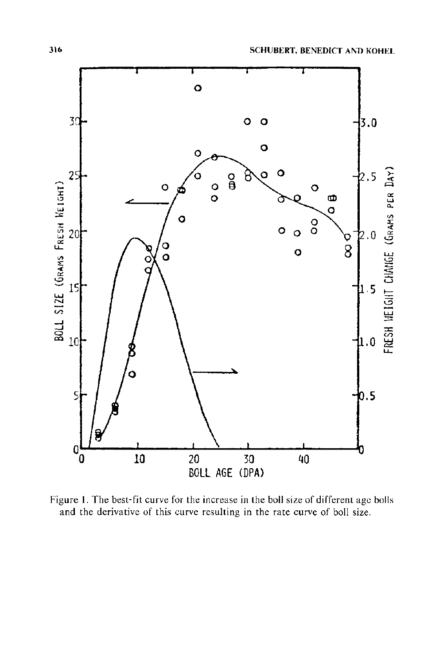

Figure 1. The best-fit curve for the increase in the boll size of different age bolls and the derivative of this curve resulting in the rate curve of boll size.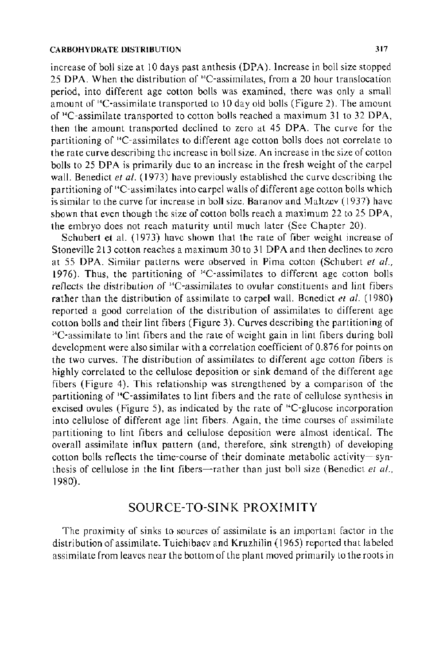increase of boll size at 10 days past anthesis (DPA). Increase in boll size stopped 25 DPA. When the distribution of 14C-assimilates, from a 20 hour translocation period, into different age cotton bolls was examined, there was only a small amount of "C-assimilate transported to 10 day old bolls (Figure 2). The amount of "C-assimilate transported to cotton bolls reached a maximum 31 to 32 DPA, then the amount transported declined to zero at 45 DPA. The curve for the partitioning of ' 4 C-assimilates to different age cotton bolls does not correlate to the rate curve describing the increase in boll size. An increase in the size of cotton bolls to 25 DPA is primarily due to an increase in the fresh weight of the carpel wall. Benedict *et al.* (1973) have previously established the curve describing the partitioning of 14C-assimilates into carpel walls of different age cotton bolls which is similar to the curve for increase in boll size. Baranov and Maltzev (1937) have shown that even though the size of cotton bolls reach a maximum 22 to 25 DPA, the embryo does not reach maturity until much later (See Chapter 20).

Schubert et al. (1973) have shown that the rate of fiber weight increase of Stoneville 213 cotton reaches a maximum 30 to 31 DPA and then declines to zero at 55 DPA. Similar patterns were observed in Pima cotton (Schubert *et a!.,*  1976). Thus, the partitioning of '•C-assimilates to different age cotton bolls reflects the distribution of ' 4 C-assimilates to ovular constituents and lint fibers rather than the distribution of assimilate to carpel wall. Benedict *et a/.* ( 1980) reported a good correlation of the distribution of assimilates to different age cotton bolls and their lint fibers (Figure 3). Curves describing the partitioning of <sup>14</sup>C-assimilate to lint fibers and the rate of weight gain in lint fibers during boll development were also similar with a correlation coefficient of 0.876 for points on the two curves. The distribution of assimilates to different age cotton fibers is highly correlated to the cellulose deposition or sink demand of the different age fibers (Figure 4). This relationship was strengthened by a comparison of the partitioning of 14C-assimilates to lint fibers and the rate of cellulose synthesis in excised ovules (Figure 5), as indicated by the rate of <sup>14</sup>C-glucose incorporation into cellulose of different age lint fibers. Again, the time courses of assimilate partitioning to lint fibers and cellulose deposition were almost identical. The overall assimilate influx pattern (and, therefore, sink strength) of developing cotton bolls reflects the time-course of their dominate metabolic activity-synthesis of cellulose in the lint fibers-rather than just boll size (Benedict *et al.*, 1980).

### SOURCE-TO-SINK PROXIMITY

The proximity of sinks to sources of assimilate is an important factor in the distribution of assimilate. Tuichibaev and Kruzhilin ( 1965) reported that labeled assimilate from leaves near the bottom of the plant moved primarily to the roots in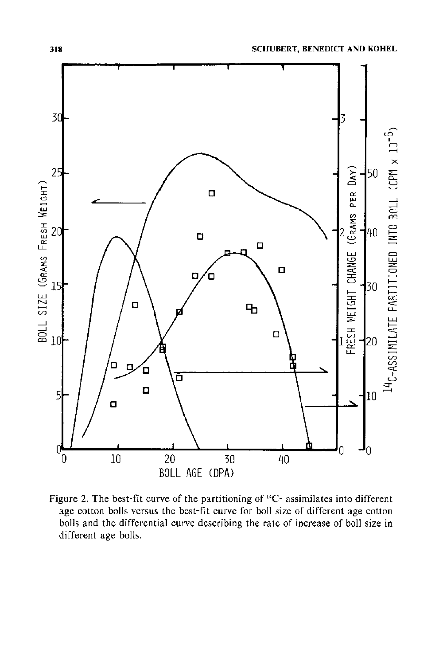![](_page_7_Figure_1.jpeg)

Figure 2. The best-fit curve of the partitioning of 14C- assimilates into different age cotton bolls versus the best-fit curve for boll size of different age cotton bolls and the differential curve describing the rate of increase of boll size in different age bolls.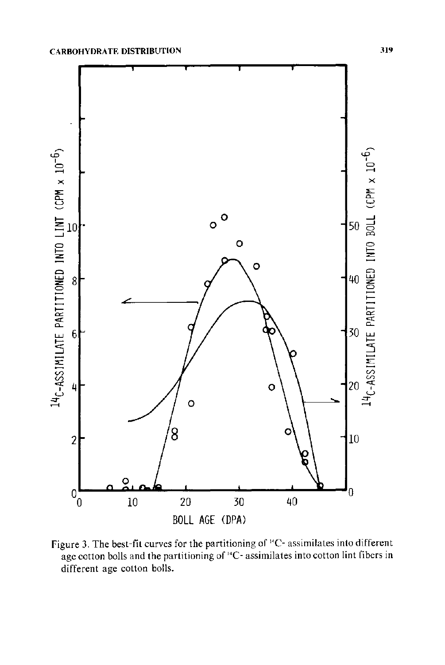![](_page_8_Figure_1.jpeg)

Figure 3. The best-fit curves for the partitioning of <sup>14</sup>C- assimilates into different age cotton bolls and the partitioning of <sup>14</sup>C- assimilates into cotton lint fibers in different age cotton bolls.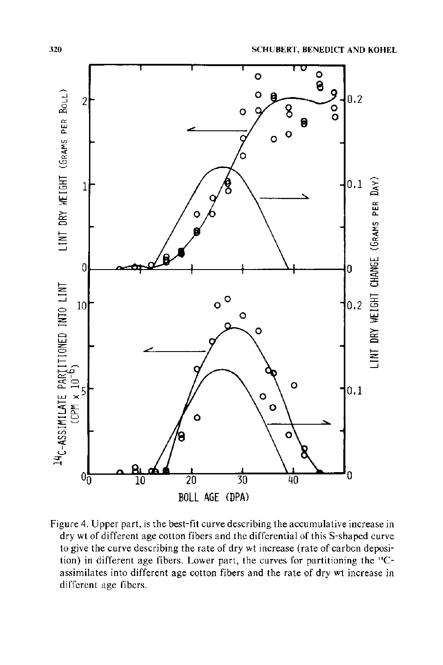![](_page_9_Figure_1.jpeg)

Figure 4. Upper part, is the best-fit curve describing the accumulative increase in dry wt of different age cotton fibers and the differential of this S-shaped curve to give the curve describing the rate of dry wt increase (rate of carbcn deposition) in different age fibers. Lower part, the curves for partitioning the 14Cassimilates into different age cotton fibers and the rate of dry wt increase in different age fibers.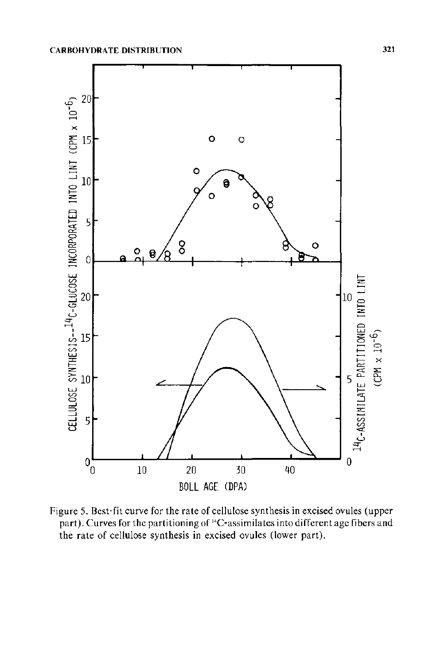![](_page_10_Figure_1.jpeg)

Figure 5. Best-fit curve for the rate of cellulose synthesis in excised ovules (upper part). Curves for the partitioning of <sup>14</sup>C-assimilates into different age fibers and the rate of cellulose synthesis in excised ovules (lower part).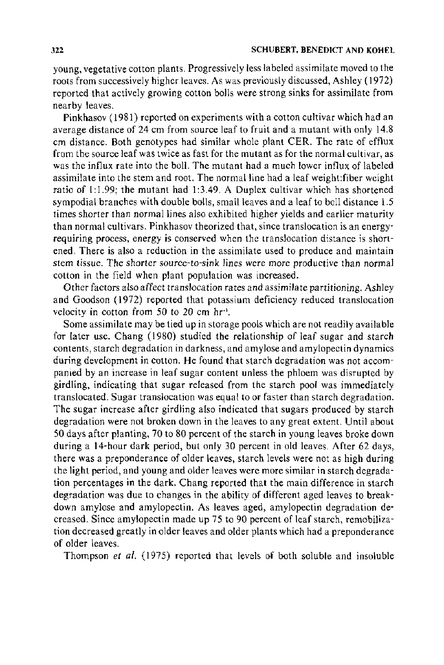young, vegetative cotton plants. Progressively less labeled assimilate moved to the roots from successively higher leaves. As was previously discussed, Ashley (1972) reported that actively growing cotton bolls were strong sinks for assimilate from nearby leaves.

Pinkhasov ( 1981) reported on experiments with a cotton cultivar which had an average distance of 24 em from source leaf to fruit and a mutant with only 14.8 em distance. Both genotypes had similar whole plant CER. The rate of efflux from the source leaf was twice as fast for the mutant as for the normal cu1tivar, as was the influx rate into the boll. The mutant had a much lower influx of labeled assimilate into the stem and root. The normal line had a leaf weight: fiber weight ratio of  $1:1.99$ ; the mutant had  $1:3.49$ . A Duplex cultivar which has shortened sympodial branches with double bolls, small leaves and a leaf to boll distance 1.5 times shorter than normal lines also exhibited higher yields and earlier maturity than normal cultivars. Pinkhasov theorized that, since translocation is an energyrequiring process, energy is conserved when the translocation distance is shortened. There is also a reduction in the assimilate used to produce and maintain stem tissue. The shorter source-to-sink lines were more productive than normal cotton in the field when plant population was increased.

Other factors also affect translocation rates and assimilate partitioning. Ashley and Goodson (1972) reported that potassium deficiency reduced translocation velocity in cotton from 50 to 20 em hr·'.

Some assimilate may be tied up in storage pools which are not readily available for later use. Chang (1980) studied the relationship of leaf sugar and starch contents, starch degradation in darkness, and amylose and amylopectin dynamics during development in cotton. He found that starch degradation was not accompanied by an increase in leaf sugar content unless the phloem was disrupted by girdling, indicating that sugar released from the starch pool was immediately translocated. Sugar translocation was equal to or faster than starch degradation. The sugar increase after girdling also indicated that sugars produced by starch degradation were not broken down in the leaves to any great extent. Until about 50 days after planting, 70 to 80 percent of the starch in young leaves broke down during a 14-hour dark period, but only 30 percent in old leaves. After 62 days, there was a preponderance of older leaves, starch levels were not as high during the light period, and young and older leaves were more similar in starch degradation percentages in the dark. Chang reported that the main difference in starch degradation was due to changes in the ability of different aged leaves to breakdown amylose and amylopectin. As leaves aged, amylopectin degradation decreased. Since amylopectin made up 75 to 90 percent of leaf starch, remobilization decreased greatly in older leaves and older plants which had a preponderance of older leaves.

Thompson *et al.* (1975) reported that levels of both soluble and insoluble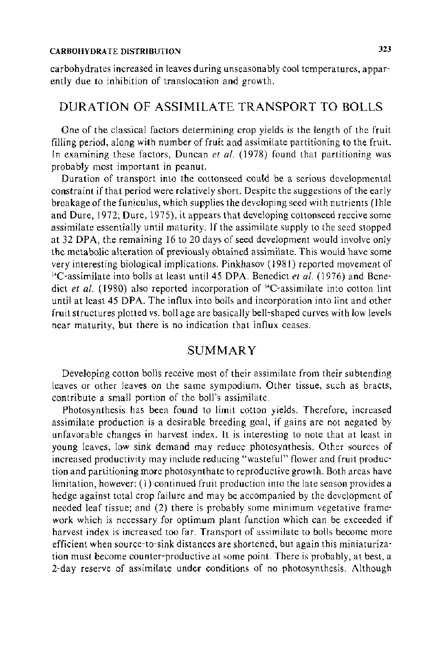carbohydrates increased in leaves during unseasonably cool temperatures, apparently due to inhibition of translocation and growth.

## DURATION OF ASSIMILATE TRANSPORT TO BOLLS

One of the classical factors determining crop yields is the length of the fruit filling period, along with number of fruit and assimilate partitioning to the fruit. In examining these factors, Duncan *et al.* (1978) found that partitioning was probably most important in peanut.

Duration of transport into the cottonseed could be a serious developmental constraint if that period were relatively short. Despite the suggestions of the early breakage of the funiculus, which supplies the developing seed with nutrients (lhle and Dure, 1972; Dure, 1975), it appears that developing cottonseed receive some assimilate essentially until maturity. If the assimilate supply to the seed stopped at 32 DPA, the remaining 16 to 20 days of seed development would involve only the metabolic alteration of previously obtained assimilate. This would have some very interesting biological implications. Pinkhasov (1981) reported movement of 14C-assimilate into bolls at least until45 DPA. Benedict *et al.* (1976) and Benedict *et al.* (1980) also reported incorporation of <sup>14</sup>C-assimilate into cotton lint until at least 45 DPA. The influx into bolls and incorporation into lint and other fruit structures plotted vs. boll age are basically bell-shaped curves with low levels near maturity, but there is no indication that influx ceases.

## **SUMMARY**

Developing cotton bolls receive most of their assimilate from their subtending leaves or other leaves on the same sympodium. Other tissue, such as bracts, contribute a small portion of the boll's assimilate.

Photosynthesis has been found to limit cotton yields. Therefore, increased assimilate production is a desirable breeding goal, if gains are not negated by unfavorable changes in harvest index. It is interesting to note that at least in young leaves, low sink demand may reduce photosynthesis. Other sources of increased productivity may include reducing "wasteful" flower and fruit production and partitioning more photosynthate to reproductive growth. Both areas have limitation, however: (1) continued fruit production into the late season provides a hedge against total crop failure and may be accompanied by the development of needed leaf tissue; and (2) there is probably some minimum vegetative framework which is necessary for optimum plant function which can be exceeded if harvest index is increased too far. Transport of assimilate to bolls become more efficient when source-to-sink distances are shortened, but again this miniaturization must become counter-productive at some point. There is probably, at best, a 2-day reserve of assimilate under conditions of no photosynthesis. Although